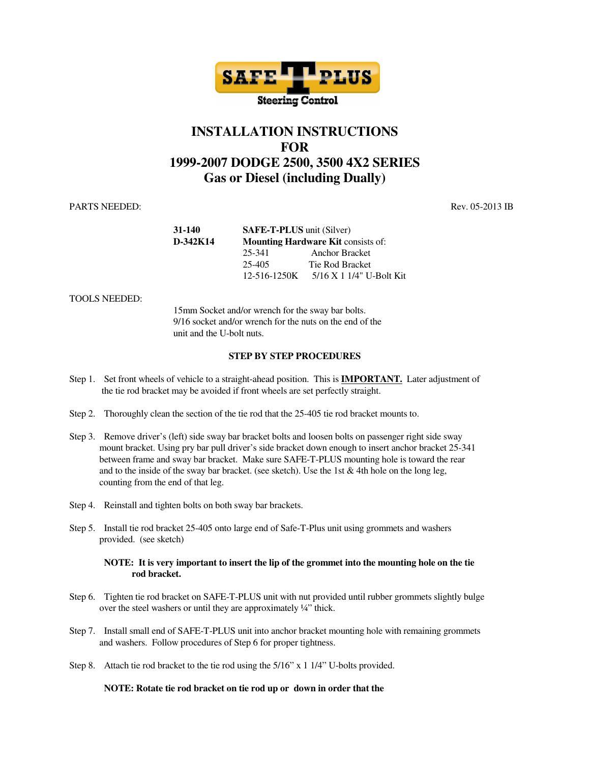

## **INSTALLATION INSTRUCTIONS FOR 1999-2007 DODGE 2500, 3500 4X2 SERIES Gas or Diesel (including Dually)**

PARTS NEEDED: Rev. 05-2013 IB

| 31-140     | <b>SAFE-T-PLUS</b> unit (Silver)<br><b>Mounting Hardware Kit consists of:</b> |                            |
|------------|-------------------------------------------------------------------------------|----------------------------|
| $D-342K14$ |                                                                               |                            |
|            | 25-341                                                                        | <b>Anchor Bracket</b>      |
|            | 25-405                                                                        | Tie Rod Bracket            |
|            | 12-516-1250K                                                                  | $5/16$ X 1 1/4" U-Bolt Kit |

TOOLS NEEDED:

 15mm Socket and/or wrench for the sway bar bolts. 9/16 socket and/or wrench for the nuts on the end of the unit and the U-bolt nuts.

## **STEP BY STEP PROCEDURES**

- Step 1. Set front wheels of vehicle to a straight-ahead position. This is **IMPORTANT.** Later adjustment of the tie rod bracket may be avoided if front wheels are set perfectly straight.
- Step 2. Thoroughly clean the section of the tie rod that the 25-405 tie rod bracket mounts to.
- Step 3. Remove driver's (left) side sway bar bracket bolts and loosen bolts on passenger right side sway mount bracket. Using pry bar pull driver's side bracket down enough to insert anchor bracket 25-341 between frame and sway bar bracket. Make sure SAFE-T-PLUS mounting hole is toward the rear and to the inside of the sway bar bracket. (see sketch). Use the 1st  $&$  4th hole on the long leg, counting from the end of that leg.
- Step 4. Reinstall and tighten bolts on both sway bar brackets.
- Step 5. Install tie rod bracket 25-405 onto large end of Safe-T-Plus unit using grommets and washers provided. (see sketch)

## **NOTE: It is very important to insert the lip of the grommet into the mounting hole on the tie rod bracket.**

- Step 6. Tighten tie rod bracket on SAFE-T-PLUS unit with nut provided until rubber grommets slightly bulge over the steel washers or until they are approximately ¼" thick.
- Step 7. Install small end of SAFE-T-PLUS unit into anchor bracket mounting hole with remaining grommets and washers. Follow procedures of Step 6 for proper tightness.
- Step 8. Attach tie rod bracket to the tie rod using the 5/16" x 1 1/4" U-bolts provided.

## **NOTE: Rotate tie rod bracket on tie rod up or down in order that the**